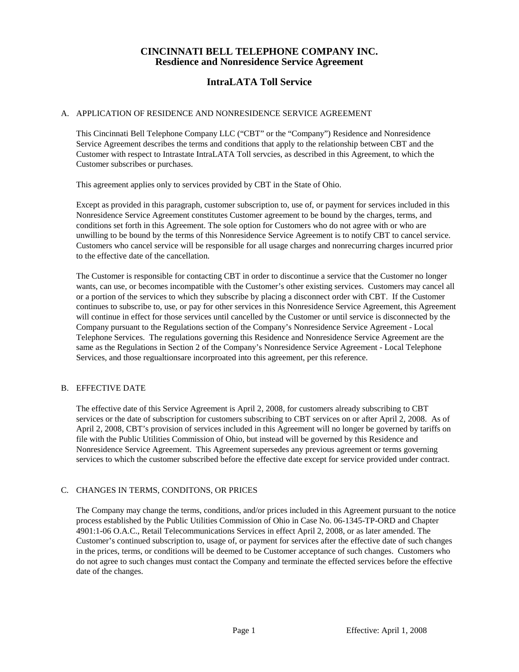# **IntraLATA Toll Service**

### A. APPLICATION OF RESIDENCE AND NONRESIDENCE SERVICE AGREEMENT

This Cincinnati Bell Telephone Company LLC ("CBT" or the "Company") Residence and Nonresidence Service Agreement describes the terms and conditions that apply to the relationship between CBT and the Customer with respect to Intrastate IntraLATA Toll servcies, as described in this Agreement, to which the Customer subscribes or purchases.

This agreement applies only to services provided by CBT in the State of Ohio.

Except as provided in this paragraph, customer subscription to, use of, or payment for services included in this Nonresidence Service Agreement constitutes Customer agreement to be bound by the charges, terms, and conditions set forth in this Agreement. The sole option for Customers who do not agree with or who are unwilling to be bound by the terms of this Nonresidence Service Agreement is to notify CBT to cancel service. Customers who cancel service will be responsible for all usage charges and nonrecurring charges incurred prior to the effective date of the cancellation.

The Customer is responsible for contacting CBT in order to discontinue a service that the Customer no longer wants, can use, or becomes incompatible with the Customer's other existing services. Customers may cancel all or a portion of the services to which they subscribe by placing a disconnect order with CBT. If the Customer continues to subscribe to, use, or pay for other services in this Nonresidence Service Agreement, this Agreement will continue in effect for those services until cancelled by the Customer or until service is disconnected by the Company pursuant to the Regulations section of the Company's Nonresidence Service Agreement - Local Telephone Services. The regulations governing this Residence and Nonresidence Service Agreement are the same as the Regulations in Section 2 of the Company's Nonresidence Service Agreement - Local Telephone Services, and those regualtionsare incorproated into this agreement, per this reference.

#### B. EFFECTIVE DATE

The effective date of this Service Agreement is April 2, 2008, for customers already subscribing to CBT services or the date of subscription for customers subscribing to CBT services on or after April 2, 2008. As of April 2, 2008, CBT's provision of services included in this Agreement will no longer be governed by tariffs on file with the Public Utilities Commission of Ohio, but instead will be governed by this Residence and Nonresidence Service Agreement. This Agreement supersedes any previous agreement or terms governing services to which the customer subscribed before the effective date except for service provided under contract.

### C. CHANGES IN TERMS, CONDITONS, OR PRICES

The Company may change the terms, conditions, and/or prices included in this Agreement pursuant to the notice process established by the Public Utilities Commission of Ohio in Case No. 06-1345-TP-ORD and Chapter 4901:1-06 O.A.C., Retail Telecommunications Services in effect April 2, 2008, or as later amended. The Customer's continued subscription to, usage of, or payment for services after the effective date of such changes in the prices, terms, or conditions will be deemed to be Customer acceptance of such changes. Customers who do not agree to such changes must contact the Company and terminate the effected services before the effective date of the changes.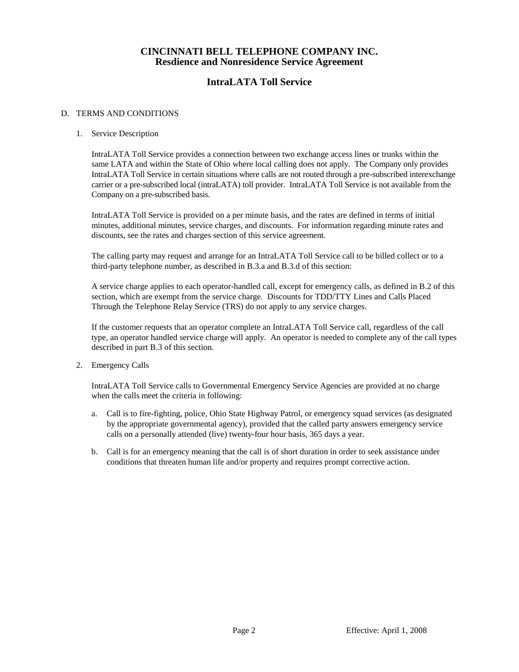# **IntraLATA Toll Service**

### D. TERMS AND CONDITIONS

### 1. Service Description

IntraLATA Toll Service provides a connection between two exchange access lines or trunks within the same LATA and within the State of Ohio where local calling does not apply. The Company only provides IntraLATA Toll Service in certain situations where calls are not routed through a pre-subscribed interexchange carrier or a pre-subscribed local (intraLATA) toll provider. IntraLATA Toll Service is not available from the Company on a pre-subscribed basis.

IntraLATA Toll Service is provided on a per minute basis, and the rates are defined in terms of initial minutes, additional minutes, service charges, and discounts. For information regarding minute rates and discounts, see the rates and charges section of this service agreement.

The calling party may request and arrange for an IntraLATA Toll Service call to be billed collect or to a third-party telephone number, as described in B.3.a and B.3.d of this section:

A service charge applies to each operator-handled call, except for emergency calls, as defined in B.2 of this section, which are exempt from the service charge. Discounts for TDD/TTY Lines and Calls Placed Through the Telephone Relay Service (TRS) do not apply to any service charges.

If the customer requests that an operator complete an IntraLATA Toll Service call, regardless of the call type, an operator handled service charge will apply. An operator is needed to complete any of the call types described in part B.3 of this section.

2. Emergency Calls

IntraLATA Toll Service calls to Governmental Emergency Service Agencies are provided at no charge when the calls meet the criteria in following:

- a. Call is to fire-fighting, police, Ohio State Highway Patrol, or emergency squad services (as designated by the appropriate governmental agency), provided that the called party answers emergency service calls on a personally attended (live) twenty-four hour basis, 365 days a year.
- b. Call is for an emergency meaning that the call is of short duration in order to seek assistance under conditions that threaten human life and/or property and requires prompt corrective action.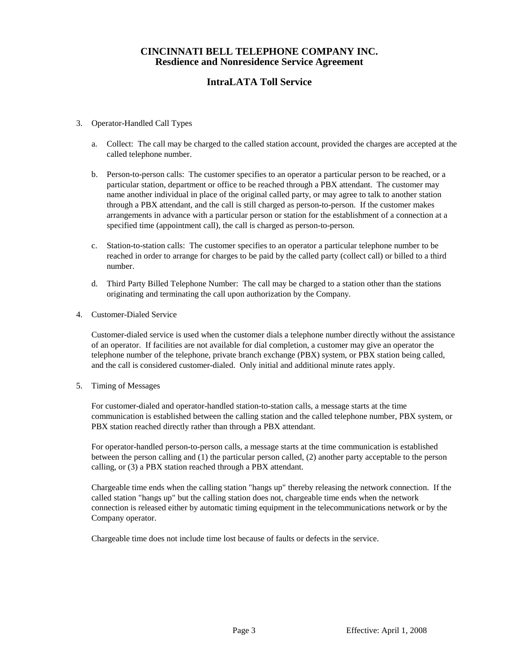# **IntraLATA Toll Service**

- 3. Operator-Handled Call Types
	- a. Collect: The call may be charged to the called station account, provided the charges are accepted at the called telephone number.
	- b. Person-to-person calls: The customer specifies to an operator a particular person to be reached, or a particular station, department or office to be reached through a PBX attendant. The customer may name another individual in place of the original called party, or may agree to talk to another station through a PBX attendant, and the call is still charged as person-to-person. If the customer makes arrangements in advance with a particular person or station for the establishment of a connection at a specified time (appointment call), the call is charged as person-to-person.
	- c. Station-to-station calls: The customer specifies to an operator a particular telephone number to be reached in order to arrange for charges to be paid by the called party (collect call) or billed to a third number.
	- d. Third Party Billed Telephone Number: The call may be charged to a station other than the stations originating and terminating the call upon authorization by the Company.
- 4. Customer-Dialed Service

Customer-dialed service is used when the customer dials a telephone number directly without the assistance of an operator. If facilities are not available for dial completion, a customer may give an operator the telephone number of the telephone, private branch exchange (PBX) system, or PBX station being called, and the call is considered customer-dialed. Only initial and additional minute rates apply.

5. Timing of Messages

For customer-dialed and operator-handled station-to-station calls, a message starts at the time communication is established between the calling station and the called telephone number, PBX system, or PBX station reached directly rather than through a PBX attendant.

For operator-handled person-to-person calls, a message starts at the time communication is established between the person calling and (1) the particular person called, (2) another party acceptable to the person calling, or (3) a PBX station reached through a PBX attendant.

Chargeable time ends when the calling station "hangs up" thereby releasing the network connection. If the called station "hangs up" but the calling station does not, chargeable time ends when the network connection is released either by automatic timing equipment in the telecommunications network or by the Company operator.

Chargeable time does not include time lost because of faults or defects in the service.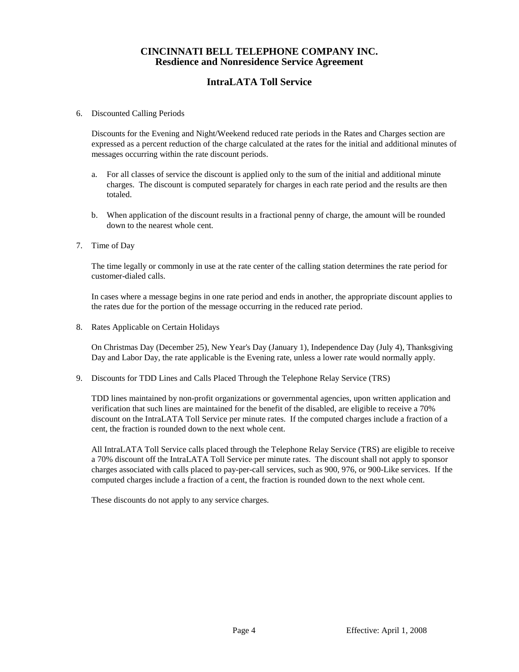# **IntraLATA Toll Service**

6. Discounted Calling Periods

Discounts for the Evening and Night/Weekend reduced rate periods in the Rates and Charges section are expressed as a percent reduction of the charge calculated at the rates for the initial and additional minutes of messages occurring within the rate discount periods.

- a. For all classes of service the discount is applied only to the sum of the initial and additional minute charges. The discount is computed separately for charges in each rate period and the results are then totaled.
- b. When application of the discount results in a fractional penny of charge, the amount will be rounded down to the nearest whole cent.
- 7. Time of Day

The time legally or commonly in use at the rate center of the calling station determines the rate period for customer-dialed calls.

In cases where a message begins in one rate period and ends in another, the appropriate discount applies to the rates due for the portion of the message occurring in the reduced rate period.

8. Rates Applicable on Certain Holidays

On Christmas Day (December 25), New Year's Day (January 1), Independence Day (July 4), Thanksgiving Day and Labor Day, the rate applicable is the Evening rate, unless a lower rate would normally apply.

9. Discounts for TDD Lines and Calls Placed Through the Telephone Relay Service (TRS)

TDD lines maintained by non-profit organizations or governmental agencies, upon written application and verification that such lines are maintained for the benefit of the disabled, are eligible to receive a 70% discount on the IntraLATA Toll Service per minute rates. If the computed charges include a fraction of a cent, the fraction is rounded down to the next whole cent.

All IntraLATA Toll Service calls placed through the Telephone Relay Service (TRS) are eligible to receive a 70% discount off the IntraLATA Toll Service per minute rates. The discount shall not apply to sponsor charges associated with calls placed to pay-per-call services, such as 900, 976, or 900-Like services. If the computed charges include a fraction of a cent, the fraction is rounded down to the next whole cent.

These discounts do not apply to any service charges.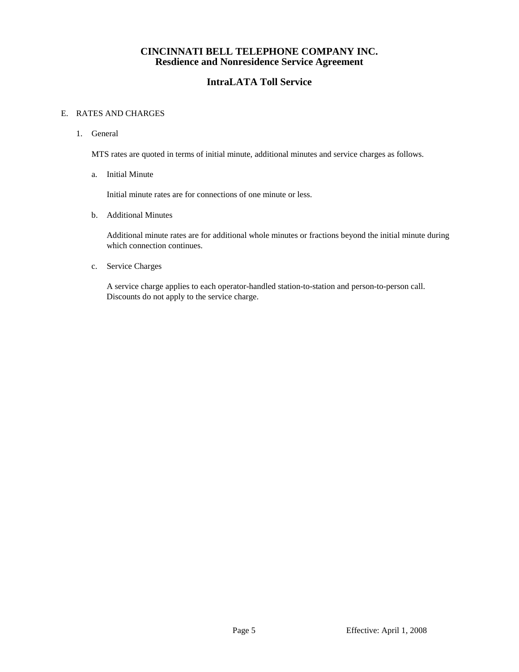## **IntraLATA Toll Service**

### E. RATES AND CHARGES

1. General

MTS rates are quoted in terms of initial minute, additional minutes and service charges as follows.

a. Initial Minute

Initial minute rates are for connections of one minute or less.

b. Additional Minutes

Additional minute rates are for additional whole minutes or fractions beyond the initial minute during which connection continues.

c. Service Charges

A service charge applies to each operator-handled station-to-station and person-to-person call. Discounts do not apply to the service charge.